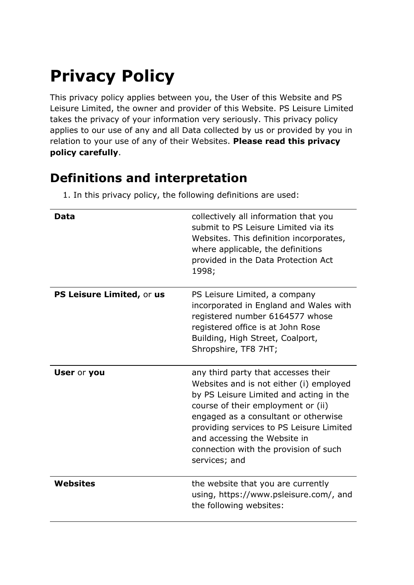# **Privacy Policy**

This privacy policy applies between you, the User of this Website and PS Leisure Limited, the owner and provider of this Website. PS Leisure Limited takes the privacy of your information very seriously. This privacy policy applies to our use of any and all Data collected by us or provided by you in relation to your use of any of their Websites. **Please read this privacy policy carefully**.

# **Definitions and interpretation**

1. In this privacy policy, the following definitions are used:

| <b>Data</b>               | collectively all information that you<br>submit to PS Leisure Limited via its<br>Websites. This definition incorporates,<br>where applicable, the definitions<br>provided in the Data Protection Act<br>1998;                                                                                                                                 |
|---------------------------|-----------------------------------------------------------------------------------------------------------------------------------------------------------------------------------------------------------------------------------------------------------------------------------------------------------------------------------------------|
| PS Leisure Limited, or us | PS Leisure Limited, a company<br>incorporated in England and Wales with<br>registered number 6164577 whose<br>registered office is at John Rose<br>Building, High Street, Coalport,<br>Shropshire, TF8 7HT;                                                                                                                                   |
| <b>User or you</b>        | any third party that accesses their<br>Websites and is not either (i) employed<br>by PS Leisure Limited and acting in the<br>course of their employment or (ii)<br>engaged as a consultant or otherwise<br>providing services to PS Leisure Limited<br>and accessing the Website in<br>connection with the provision of such<br>services; and |
| <b>Websites</b>           | the website that you are currently<br>using, https://www.psleisure.com/, and<br>the following websites:                                                                                                                                                                                                                                       |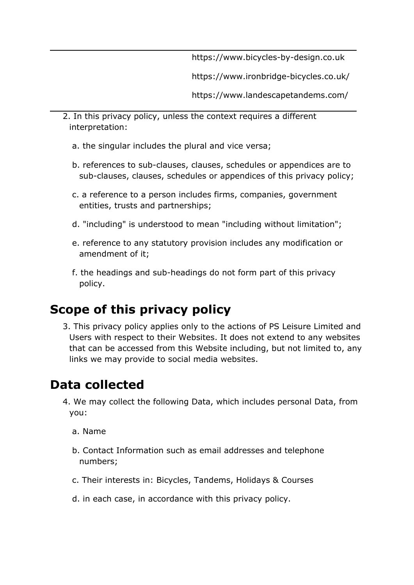https://www.bicycles-by-design.co.uk

https://www.ironbridge-bicycles.co.uk/

https://www.landescapetandems.com/

- 2. In this privacy policy, unless the context requires a different interpretation:
	- a. the singular includes the plural and vice versa;
	- b. references to sub-clauses, clauses, schedules or appendices are to sub-clauses, clauses, schedules or appendices of this privacy policy;
	- c. a reference to a person includes firms, companies, government entities, trusts and partnerships;
	- d. "including" is understood to mean "including without limitation";
	- e. reference to any statutory provision includes any modification or amendment of it;
	- f. the headings and sub-headings do not form part of this privacy policy.

# **Scope of this privacy policy**

3. This privacy policy applies only to the actions of PS Leisure Limited and Users with respect to their Websites. It does not extend to any websites that can be accessed from this Website including, but not limited to, any links we may provide to social media websites.

### **Data collected**

- 4. We may collect the following Data, which includes personal Data, from you:
	- a. Name
	- b. Contact Information such as email addresses and telephone numbers;
	- c. Their interests in: Bicycles, Tandems, Holidays & Courses
	- d. in each case, in accordance with this privacy policy.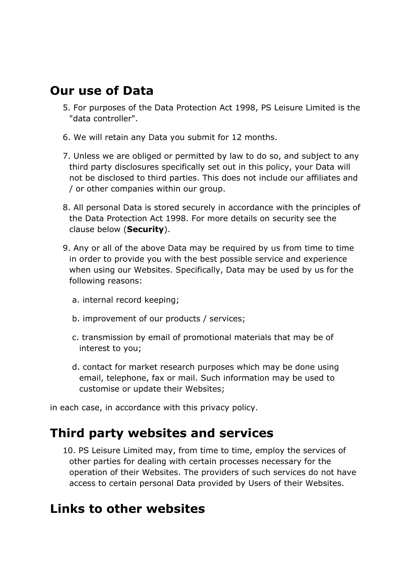#### **Our use of Data**

- 5. For purposes of the Data Protection Act 1998, PS Leisure Limited is the "data controller".
- 6. We will retain any Data you submit for 12 months.
- 7. Unless we are obliged or permitted by law to do so, and subject to any third party disclosures specifically set out in this policy, your Data will not be disclosed to third parties. This does not include our affiliates and / or other companies within our group.
- 8. All personal Data is stored securely in accordance with the principles of the Data Protection Act 1998. For more details on security see the clause below (**Security**).
- 9. Any or all of the above Data may be required by us from time to time in order to provide you with the best possible service and experience when using our Websites. Specifically, Data may be used by us for the following reasons:
	- a. internal record keeping;
	- b. improvement of our products / services;
	- c. transmission by email of promotional materials that may be of interest to you;
	- d. contact for market research purposes which may be done using email, telephone, fax or mail. Such information may be used to customise or update their Websites;

in each case, in accordance with this privacy policy.

#### **Third party websites and services**

10. PS Leisure Limited may, from time to time, employ the services of other parties for dealing with certain processes necessary for the operation of their Websites. The providers of such services do not have access to certain personal Data provided by Users of their Websites.

### **Links to other websites**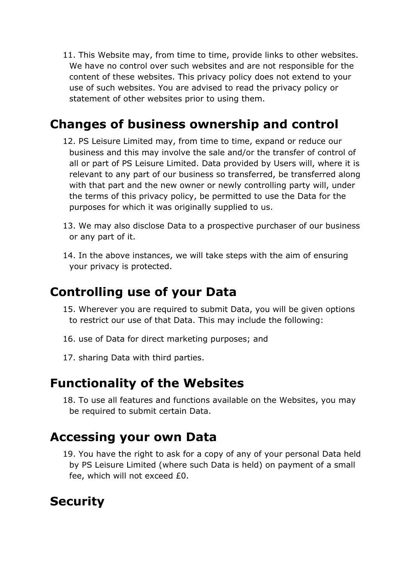11. This Website may, from time to time, provide links to other websites. We have no control over such websites and are not responsible for the content of these websites. This privacy policy does not extend to your use of such websites. You are advised to read the privacy policy or statement of other websites prior to using them.

## **Changes of business ownership and control**

- 12. PS Leisure Limited may, from time to time, expand or reduce our business and this may involve the sale and/or the transfer of control of all or part of PS Leisure Limited. Data provided by Users will, where it is relevant to any part of our business so transferred, be transferred along with that part and the new owner or newly controlling party will, under the terms of this privacy policy, be permitted to use the Data for the purposes for which it was originally supplied to us.
- 13. We may also disclose Data to a prospective purchaser of our business or any part of it.
- 14. In the above instances, we will take steps with the aim of ensuring your privacy is protected.

### **Controlling use of your Data**

- 15. Wherever you are required to submit Data, you will be given options to restrict our use of that Data. This may include the following:
- 16. use of Data for direct marketing purposes; and
- 17. sharing Data with third parties.

#### **Functionality of the Websites**

18. To use all features and functions available on the Websites, you may be required to submit certain Data.

#### **Accessing your own Data**

19. You have the right to ask for a copy of any of your personal Data held by PS Leisure Limited (where such Data is held) on payment of a small fee, which will not exceed £0.

# **Security**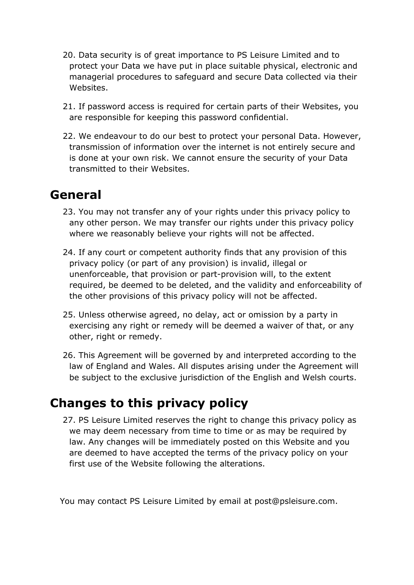- 20. Data security is of great importance to PS Leisure Limited and to protect your Data we have put in place suitable physical, electronic and managerial procedures to safeguard and secure Data collected via their Websites.
- 21. If password access is required for certain parts of their Websites, you are responsible for keeping this password confidential.
- 22. We endeavour to do our best to protect your personal Data. However, transmission of information over the internet is not entirely secure and is done at your own risk. We cannot ensure the security of your Data transmitted to their Websites.

# **General**

- 23. You may not transfer any of your rights under this privacy policy to any other person. We may transfer our rights under this privacy policy where we reasonably believe your rights will not be affected.
- 24. If any court or competent authority finds that any provision of this privacy policy (or part of any provision) is invalid, illegal or unenforceable, that provision or part-provision will, to the extent required, be deemed to be deleted, and the validity and enforceability of the other provisions of this privacy policy will not be affected.
- 25. Unless otherwise agreed, no delay, act or omission by a party in exercising any right or remedy will be deemed a waiver of that, or any other, right or remedy.
- 26. This Agreement will be governed by and interpreted according to the law of England and Wales. All disputes arising under the Agreement will be subject to the exclusive jurisdiction of the English and Welsh courts.

# **Changes to this privacy policy**

27. PS Leisure Limited reserves the right to change this privacy policy as we may deem necessary from time to time or as may be required by law. Any changes will be immediately posted on this Website and you are deemed to have accepted the terms of the privacy policy on your first use of the Website following the alterations.

You may contact PS Leisure Limited by email at post@psleisure.com.